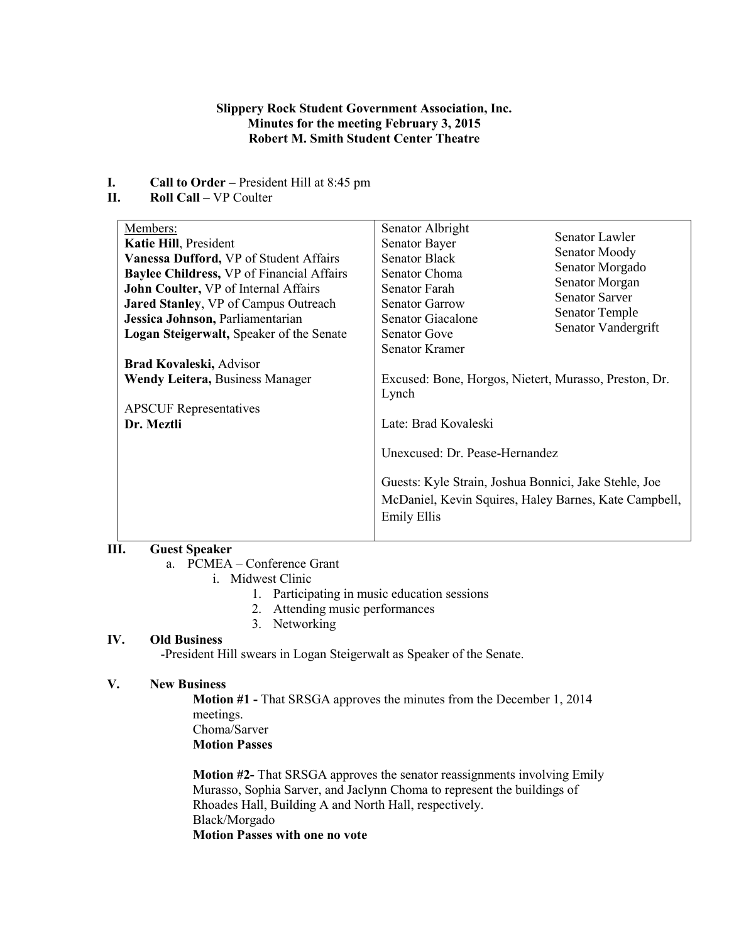## **Slippery Rock Student Government Association, Inc. Minutes for the meeting February 3, 2015 Robert M. Smith Student Center Theatre**

- **I. Call to Order** President Hill at 8:45 pm<br>**II. Roll Call** VP Coulter
- **II. Roll Call –** VP Coulter

# **III. Guest Speaker**

a. PCMEA – Conference Grant

- i. Midwest Clinic
	- 1. Participating in music education sessions
	- 2. Attending music performances
	- 3. Networking

#### **IV. Old Business**

-President Hill swears in Logan Steigerwalt as Speaker of the Senate.

# **V. New Business**

**Motion #1 -** That SRSGA approves the minutes from the December 1, 2014 meetings. Choma/Sarver **Motion Passes**

**Motion #2-** That SRSGA approves the senator reassignments involving Emily Murasso, Sophia Sarver, and Jaclynn Choma to represent the buildings of Rhoades Hall, Building A and North Hall, respectively. Black/Morgado **Motion Passes with one no vote**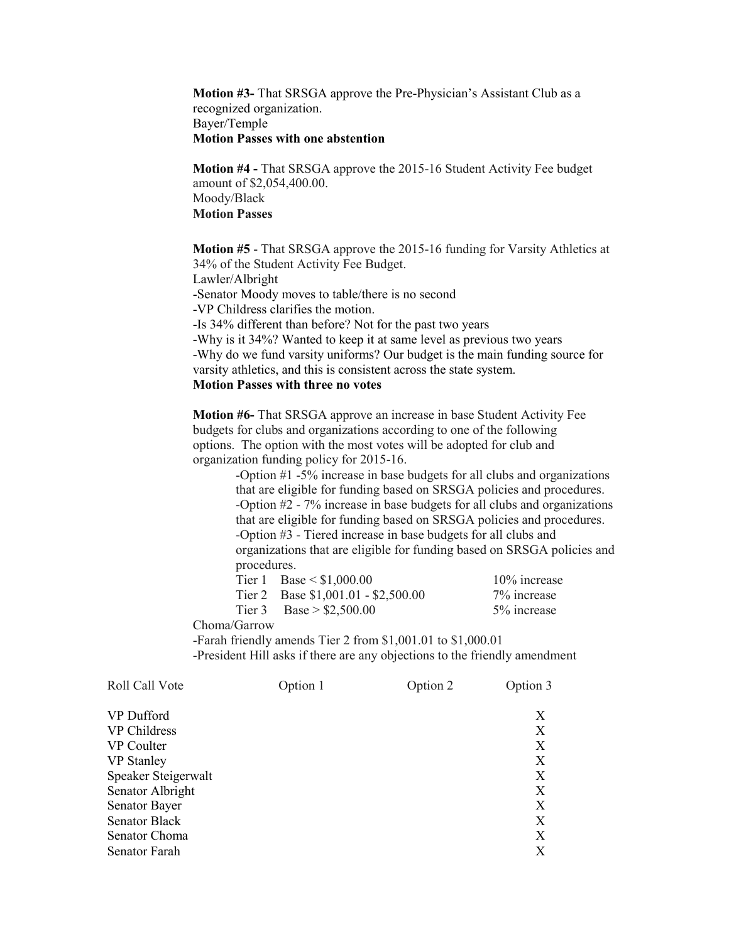**Motion #3-** That SRSGA approve the Pre-Physician's Assistant Club as a recognized organization. Bayer/Temple **Motion Passes with one abstention**

**Motion #4 -** That SRSGA approve the 2015-16 Student Activity Fee budget amount of \$2,054,400.00. Moody/Black **Motion Passes**

**Motion #5** - That SRSGA approve the 2015-16 funding for Varsity Athletics at 34% of the Student Activity Fee Budget.

Lawler/Albright

-Senator Moody moves to table/there is no second

-VP Childress clarifies the motion.

-Is 34% different than before? Not for the past two years

-Why is it 34%? Wanted to keep it at same level as previous two years -Why do we fund varsity uniforms? Our budget is the main funding source for varsity athletics, and this is consistent across the state system. **Motion Passes with three no votes**

**Motion #6-** That SRSGA approve an increase in base Student Activity Fee budgets for clubs and organizations according to one of the following options. The option with the most votes will be adopted for club and organization funding policy for 2015-16.

> -Option #1 -5% increase in base budgets for all clubs and organizations that are eligible for funding based on SRSGA policies and procedures. -Option #2 - 7% increase in base budgets for all clubs and organizations that are eligible for funding based on SRSGA policies and procedures. -Option #3 - Tiered increase in base budgets for all clubs and organizations that are eligible for funding based on SRSGA policies and procedures.

| Tier 1 Base $\le$ \$1,000.00        | 10% increase |
|-------------------------------------|--------------|
| Tier 2 Base $$1,001.01 - $2,500.00$ | 7% increase  |
| Tier 3 Base > $$2,500.00$           | 5% increase  |

Choma/Garrow

-Farah friendly amends Tier 2 from \$1,001.01 to \$1,000.01

-President Hill asks if there are any objections to the friendly amendment

| Option 1 | Option 2 | Option 3 |
|----------|----------|----------|
|          |          | X        |
|          |          | X        |
|          |          | X        |
|          |          | X        |
|          |          | X        |
|          |          | X        |
|          |          | X        |
|          |          | X        |
|          |          | X        |
|          |          | Х        |
|          |          |          |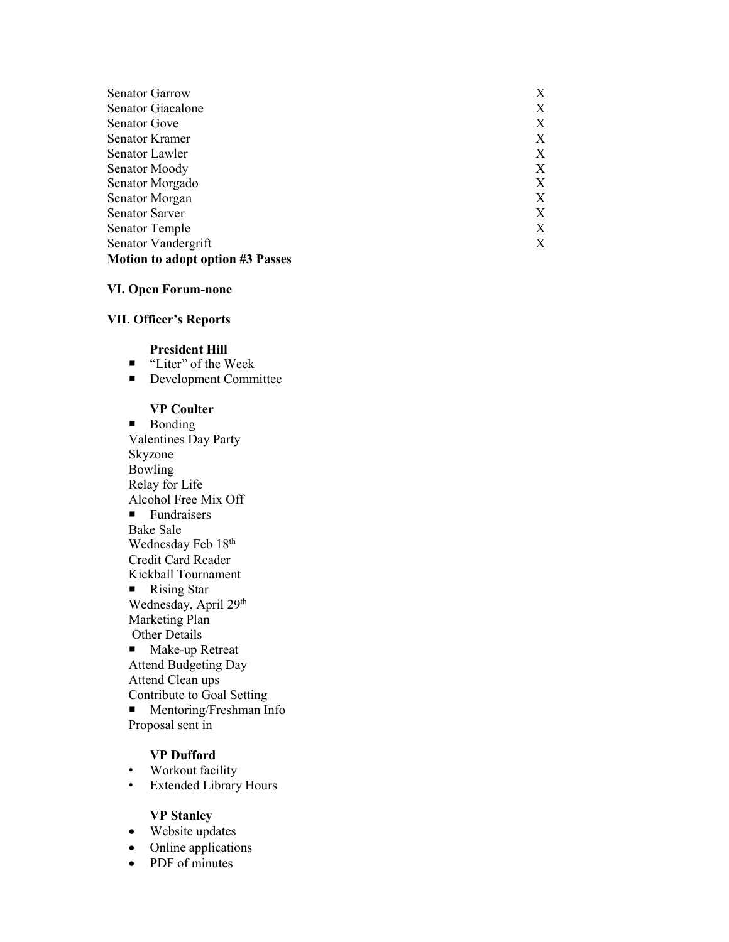| <b>Senator Garrow</b>                   | X |
|-----------------------------------------|---|
| Senator Giacalone                       | Х |
| <b>Senator Gove</b>                     | Х |
| Senator Kramer                          | Х |
| Senator Lawler                          | Х |
| Senator Moody                           | Х |
| Senator Morgado                         | Х |
| Senator Morgan                          | Х |
| <b>Senator Sarver</b>                   | Х |
| <b>Senator Temple</b>                   | X |
| Senator Vandergrift                     | X |
| <b>Motion to adopt option #3 Passes</b> |   |

#### **VI. Open Forum -none**

# **VII. Officer's Reports**

### **President Hill**

- "Liter" of the Week
- Development Committee

### **VP Coulter**

**Bonding** Valentines Day Party Skyzone Bowling Relay for Life Alcohol Free Mix Off **Fundraisers** Bake Sale Wednesday Feb 18th Credit Card Reader Kickball Tournament ■ Rising Star Wednesday, April 29<sup>th</sup>

Marketing Plan Other Details

■ Make-up Retreat Attend Budgeting Day Attend Clean ups Contribute to Goal Setting

**Mentoring/Freshman Info** Proposal sent in

## **VP Dufford**

- Workout facility
- Extended Library Hours

#### **VP Stanley**

- Website updates
- Online applications
- PDF of minutes